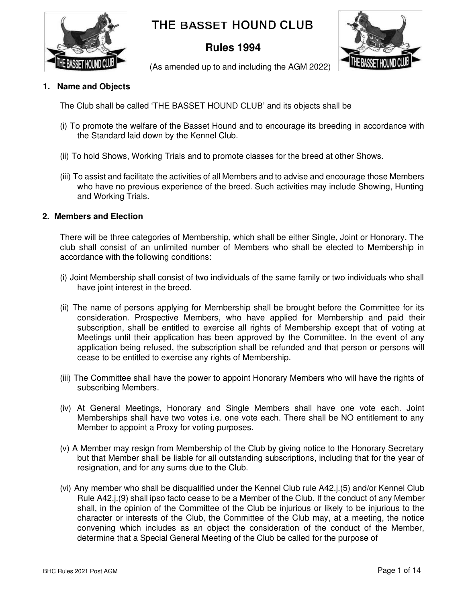

# **THE BASSET HOUND CLUB**

# **Rules 1994**



(As amended up to and including the AGM 2022)

# **1. Name and Objects**

The Club shall be called 'THE BASSET HOUND CLUB' and its objects shall be

- (i) To promote the welfare of the Basset Hound and to encourage its breeding in accordance with the Standard laid down by the Kennel Club.
- (ii) To hold Shows, Working Trials and to promote classes for the breed at other Shows.
- (iii) To assist and facilitate the activities of all Members and to advise and encourage those Members who have no previous experience of the breed. Such activities may include Showing, Hunting and Working Trials.

# **2. Members and Election**

There will be three categories of Membership, which shall be either Single, Joint or Honorary. The club shall consist of an unlimited number of Members who shall be elected to Membership in accordance with the following conditions:

- (i) Joint Membership shall consist of two individuals of the same family or two individuals who shall have joint interest in the breed.
- (ii) The name of persons applying for Membership shall be brought before the Committee for its consideration. Prospective Members, who have applied for Membership and paid their subscription, shall be entitled to exercise all rights of Membership except that of voting at Meetings until their application has been approved by the Committee. In the event of any application being refused, the subscription shall be refunded and that person or persons will cease to be entitled to exercise any rights of Membership.
- (iii) The Committee shall have the power to appoint Honorary Members who will have the rights of subscribing Members.
- (iv) At General Meetings, Honorary and Single Members shall have one vote each. Joint Memberships shall have two votes i.e. one vote each. There shall be NO entitlement to any Member to appoint a Proxy for voting purposes.
- (v) A Member may resign from Membership of the Club by giving notice to the Honorary Secretary but that Member shall be liable for all outstanding subscriptions, including that for the year of resignation, and for any sums due to the Club.
- (vi) Any member who shall be disqualified under the Kennel Club rule A42.j.(5) and/or Kennel Club Rule A42.j.(9) shall ipso facto cease to be a Member of the Club. If the conduct of any Member shall, in the opinion of the Committee of the Club be injurious or likely to be injurious to the character or interests of the Club, the Committee of the Club may, at a meeting, the notice convening which includes as an object the consideration of the conduct of the Member, determine that a Special General Meeting of the Club be called for the purpose of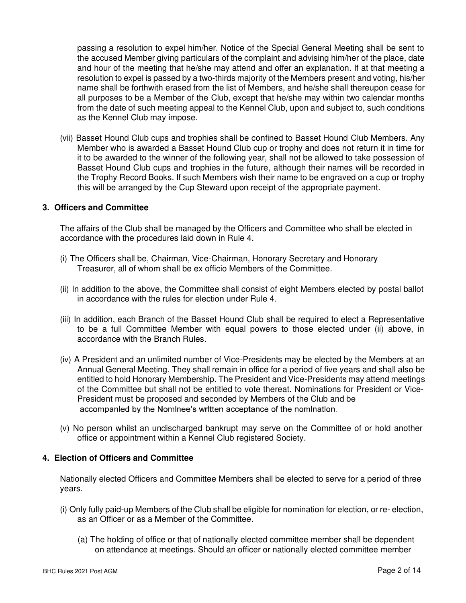passing a resolution to expel him/her. Notice of the Special General Meeting shall be sent to the accused Member giving particulars of the complaint and advising him/her of the place, date and hour of the meeting that he/she may attend and offer an explanation. If at that meeting a resolution to expel is passed by a two-thirds majority of the Members present and voting, his/her name shall be forthwith erased from the list of Members, and he/she shall thereupon cease for all purposes to be a Member of the Club, except that he/she may within two calendar months from the date of such meeting appeal to the Kennel Club, upon and subject to, such conditions as the Kennel Club may impose.

(vii) Basset Hound Club cups and trophies shall be confined to Basset Hound Club Members. Any Member who is awarded a Basset Hound Club cup or trophy and does not return it in time for it to be awarded to the winner of the following year, shall not be allowed to take possession of Basset Hound Club cups and trophies in the future, although their names will be recorded in the Trophy Record Books. If such Members wish their name to be engraved on a cup or trophy this will be arranged by the Cup Steward upon receipt of the appropriate payment.

# **3. Officers and Committee**

The affairs of the Club shall be managed by the Officers and Committee who shall be elected in accordance with the procedures laid down in Rule 4.

- (i) The Officers shall be, Chairman, Vice-Chairman, Honorary Secretary and Honorary Treasurer, all of whom shall be ex officio Members of the Committee.
- (ii) In addition to the above, the Committee shall consist of eight Members elected by postal ballot in accordance with the rules for election under Rule 4.
- (iii) In addition, each Branch of the Basset Hound Club shall be required to elect a Representative to be a full Committee Member with equal powers to those elected under (ii) above, in accordance with the Branch Rules.
- (iv) A President and an unlimited number of Vice-Presidents may be elected by the Members at an Annual General Meeting. They shall remain in office for a period of five years and shall also be entitled to hold Honorary Membership. The President and Vice-Presidents may attend meetings of the Committee but shall not be entitled to vote thereat. Nominations for President or Vice-President must be proposed and seconded by Members of the Club and be accompanied by the Nominee's written acceptance of the nomination.
- (v) No person whilst an undischarged bankrupt may serve on the Committee of or hold another office or appointment within a Kennel Club registered Society.

## **4. Election of Officers and Committee**

Nationally elected Officers and Committee Members shall be elected to serve for a period of three years.

- (i) Only fully paid-up Members of the Club shall be eligible for nomination for election, or re- election, as an Officer or as a Member of the Committee.
	- (a) The holding of office or that of nationally elected committee member shall be dependent on attendance at meetings. Should an officer or nationally elected committee member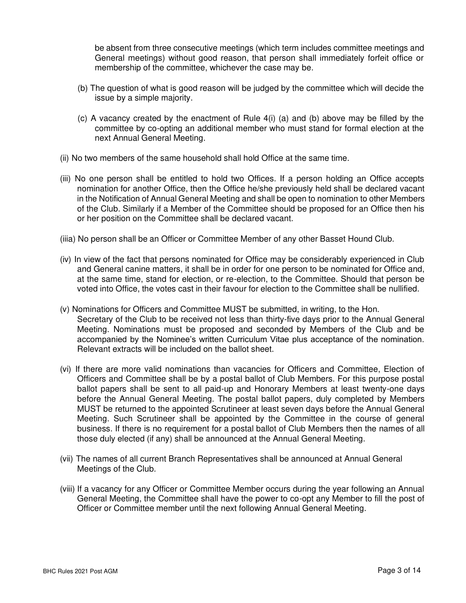be absent from three consecutive meetings (which term includes committee meetings and General meetings) without good reason, that person shall immediately forfeit office or membership of the committee, whichever the case may be.

- (b) The question of what is good reason will be judged by the committee which will decide the issue by a simple majority.
- (c) A vacancy created by the enactment of Rule 4(i) (a) and (b) above may be filled by the committee by co-opting an additional member who must stand for formal election at the next Annual General Meeting.
- (ii) No two members of the same household shall hold Office at the same time.
- (iii) No one person shall be entitled to hold two Offices. If a person holding an Office accepts nomination for another Office, then the Office he/she previously held shall be declared vacant in the Notification of Annual General Meeting and shall be open to nomination to other Members of the Club. Similarly if a Member of the Committee should be proposed for an Office then his or her position on the Committee shall be declared vacant.
- (iiia) No person shall be an Officer or Committee Member of any other Basset Hound Club.
- (iv) In view of the fact that persons nominated for Office may be considerably experienced in Club and General canine matters, it shall be in order for one person to be nominated for Office and, at the same time, stand for election, or re-election, to the Committee. Should that person be voted into Office, the votes cast in their favour for election to the Committee shall be nullified.
- (v) Nominations for Officers and Committee MUST be submitted, in writing, to the Hon. Secretary of the Club to be received not less than thirty-five days prior to the Annual General Meeting. Nominations must be proposed and seconded by Members of the Club and be accompanied by the Nominee's written Curriculum Vitae plus acceptance of the nomination. Relevant extracts will be included on the ballot sheet.
- (vi) If there are more valid nominations than vacancies for Officers and Committee, Election of Officers and Committee shall be by a postal ballot of Club Members. For this purpose postal ballot papers shall be sent to all paid-up and Honorary Members at least twenty-one days before the Annual General Meeting. The postal ballot papers, duly completed by Members MUST be returned to the appointed Scrutineer at least seven days before the Annual General Meeting. Such Scrutineer shall be appointed by the Committee in the course of general business. If there is no requirement for a postal ballot of Club Members then the names of all those duly elected (if any) shall be announced at the Annual General Meeting.
- (vii) The names of all current Branch Representatives shall be announced at Annual General Meetings of the Club.
- (viii) If a vacancy for any Officer or Committee Member occurs during the year following an Annual General Meeting, the Committee shall have the power to co-opt any Member to fill the post of Officer or Committee member until the next following Annual General Meeting.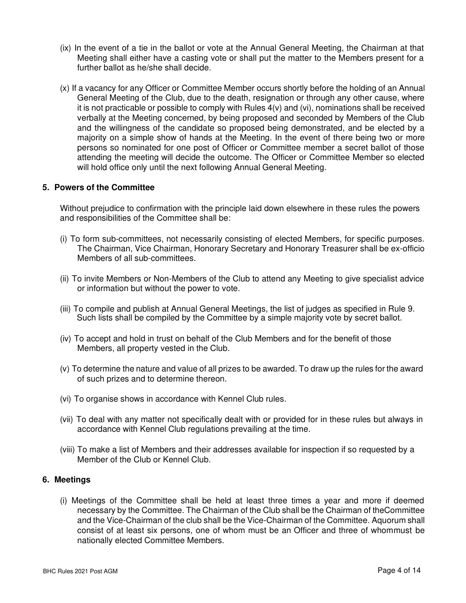- (ix) In the event of a tie in the ballot or vote at the Annual General Meeting, the Chairman at that Meeting shall either have a casting vote or shall put the matter to the Members present for a further ballot as he/she shall decide.
- (x) If a vacancy for any Officer or Committee Member occurs shortly before the holding of an Annual General Meeting of the Club, due to the death, resignation or through any other cause, where it is not practicable or possible to comply with Rules 4(v) and (vi), nominations shall be received verbally at the Meeting concerned, by being proposed and seconded by Members of the Club and the willingness of the candidate so proposed being demonstrated, and be elected by a majority on a simple show of hands at the Meeting. In the event of there being two or more persons so nominated for one post of Officer or Committee member a secret ballot of those attending the meeting will decide the outcome. The Officer or Committee Member so elected will hold office only until the next following Annual General Meeting.

# **5. Powers of the Committee**

Without prejudice to confirmation with the principle laid down elsewhere in these rules the powers and responsibilities of the Committee shall be:

- (i) To form sub-committees, not necessarily consisting of elected Members, for specific purposes. The Chairman, Vice Chairman, Honorary Secretary and Honorary Treasurer shall be ex-officio Members of all sub-committees.
- (ii) To invite Members or Non-Members of the Club to attend any Meeting to give specialist advice or information but without the power to vote.
- (iii) To compile and publish at Annual General Meetings, the list of judges as specified in Rule 9. Such lists shall be compiled by the Committee by a simple majority vote by secret ballot.
- (iv) To accept and hold in trust on behalf of the Club Members and for the benefit of those Members, all property vested in the Club.
- (v) To determine the nature and value of all prizes to be awarded. To draw up the rules for the award of such prizes and to determine thereon.
- (vi) To organise shows in accordance with Kennel Club rules.
- (vii) To deal with any matter not specifically dealt with or provided for in these rules but always in accordance with Kennel Club regulations prevailing at the time.
- (viii) To make a list of Members and their addresses available for inspection if so requested by a Member of the Club or Kennel Club.

# **6. Meetings**

(i) Meetings of the Committee shall be held at least three times a year and more if deemed necessary by the Committee. The Chairman of the Club shall be the Chairman of the Committee and the Vice-Chairman of the club shall be the Vice-Chairman of the Committee. A quorum shall consist of at least six persons, one of whom must be an Officer and three of whom must be nationally elected Committee Members.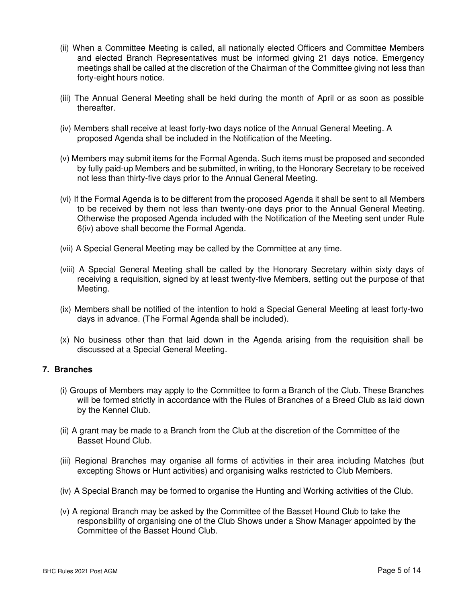- (ii) When a Committee Meeting is called, all nationally elected Officers and Committee Members and elected Branch Representatives must be informed giving 21 days notice. Emergency meetings shall be called at the discretion of the Chairman of the Committee giving not less than forty-eight hours notice.
- (iii) The Annual General Meeting shall be held during the month of April or as soon as possible thereafter.
- (iv) Members shall receive at least forty-two days notice of the Annual General Meeting. A proposed Agenda shall be included in the Notification of the Meeting.
- (v) Members may submit items for the Formal Agenda. Such items must be proposed and seconded by fully paid-up Members and be submitted, in writing, to the Honorary Secretary to be received not less than thirty-five days prior to the Annual General Meeting.
- (vi) If the Formal Agenda is to be different from the proposed Agenda it shall be sent to all Members to be received by them not less than twenty-one days prior to the Annual General Meeting. Otherwise the proposed Agenda included with the Notification of the Meeting sent under Rule 6(iv) above shall become the Formal Agenda.
- (vii) A Special General Meeting may be called by the Committee at any time.
- (viii) A Special General Meeting shall be called by the Honorary Secretary within sixty days of receiving a requisition, signed by at least twenty-five Members, setting out the purpose of that Meeting.
- (ix) Members shall be notified of the intention to hold a Special General Meeting at least forty-two days in advance. (The Formal Agenda shall be included).
- (x) No business other than that laid down in the Agenda arising from the requisition shall be discussed at a Special General Meeting.

# **7. Branches**

- (i) Groups of Members may apply to the Committee to form a Branch of the Club. These Branches will be formed strictly in accordance with the Rules of Branches of a Breed Club as laid down by the Kennel Club.
- (ii) A grant may be made to a Branch from the Club at the discretion of the Committee of the Basset Hound Club.
- (iii) Regional Branches may organise all forms of activities in their area including Matches (but excepting Shows or Hunt activities) and organising walks restricted to Club Members.
- (iv) A Special Branch may be formed to organise the Hunting and Working activities of the Club.
- (v) A regional Branch may be asked by the Committee of the Basset Hound Club to take the responsibility of organising one of the Club Shows under a Show Manager appointed by the Committee of the Basset Hound Club.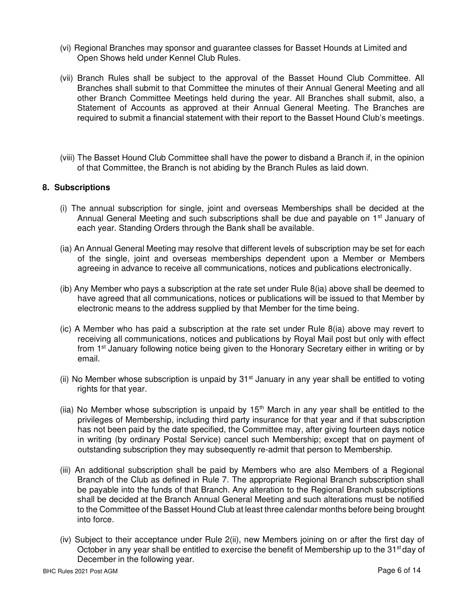- (vi) Regional Branches may sponsor and guarantee classes for Basset Hounds at Limited and Open Shows held under Kennel Club Rules.
- (vii) Branch Rules shall be subject to the approval of the Basset Hound Club Committee. All Branches shall submit to that Committee the minutes of their Annual General Meeting and all other Branch Committee Meetings held during the year. All Branches shall submit, also, a Statement of Accounts as approved at their Annual General Meeting. The Branches are required to submit a financial statement with their report to the Basset Hound Club's meetings.
- (viii) The Basset Hound Club Committee shall have the power to disband a Branch if, in the opinion of that Committee, the Branch is not abiding by the Branch Rules as laid down.

# **8. Subscriptions**

- (i) The annual subscription for single, joint and overseas Memberships shall be decided at the Annual General Meeting and such subscriptions shall be due and payable on 1<sup>st</sup> January of each year. Standing Orders through the Bank shall be available.
- (ia) An Annual General Meeting may resolve that different levels of subscription may be set for each of the single, joint and overseas memberships dependent upon a Member or Members agreeing in advance to receive all communications, notices and publications electronically.
- (ib) Any Member who pays a subscription at the rate set under Rule 8(ia) above shall be deemed to have agreed that all communications, notices or publications will be issued to that Member by electronic means to the address supplied by that Member for the time being.
- (ic) A Member who has paid a subscription at the rate set under Rule 8(ia) above may revert to receiving all communications, notices and publications by Royal Mail post but only with effect from 1<sup>st</sup> January following notice being given to the Honorary Secretary either in writing or by email.
- (ii) No Member whose subscription is unpaid by  $31<sup>st</sup>$  January in any year shall be entitled to voting rights for that year.
- (iia) No Member whose subscription is unpaid by  $15<sup>th</sup>$  March in any year shall be entitled to the privileges of Membership, including third party insurance for that year and if that subscription has not been paid by the date specified, the Committee may, after giving fourteen days notice in writing (by ordinary Postal Service) cancel such Membership; except that on payment of outstanding subscription they may subsequently re-admit that person to Membership.
- (iii) An additional subscription shall be paid by Members who are also Members of a Regional Branch of the Club as defined in Rule 7. The appropriate Regional Branch subscription shall be payable into the funds of that Branch. Any alteration to the Regional Branch subscriptions shall be decided at the Branch Annual General Meeting and such alterations must be notified to the Committee of the Basset Hound Club at least three calendar months before being brought into force.
- (iv) Subject to their acceptance under Rule 2(ii), new Members joining on or after the first day of October in any year shall be entitled to exercise the benefit of Membership up to the 31<sup>st</sup> day of December in the following year.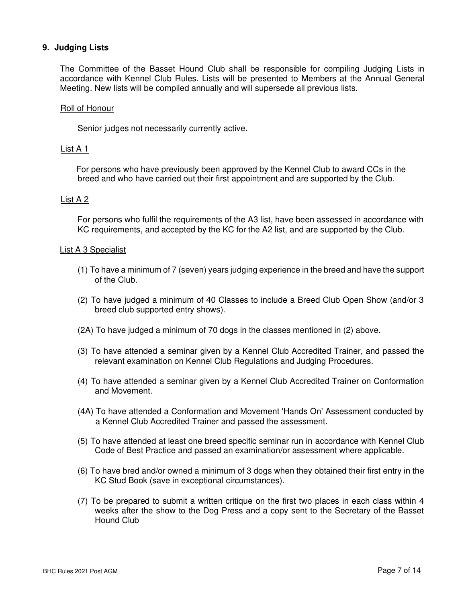## **9. Judging Lists**

The Committee of the Basset Hound Club shall be responsible for compiling Judging Lists in accordance with Kennel Club Rules. Lists will be presented to Members at the Annual General Meeting. New lists will be compiled annually and will supersede all previous lists.

#### Roll of Honour

Senior judges not necessarily currently active.

#### List A 1

For persons who have previously been approved by the Kennel Club to award CCs in the breed and who have carried out their first appointment and are supported by the Club.

#### List A 2

For persons who fulfil the requirements of the A3 list, have been assessed in accordance with KC requirements, and accepted by the KC for the A2 list, and are supported by the Club.

#### List A 3 Specialist

- (1) To have a minimum of 7 (seven) years judging experience in the breed and have the support of the Club.
- (2) To have judged a minimum of 40 Classes to include a Breed Club Open Show (and/or 3 breed club supported entry shows).
- (2A) To have judged a minimum of 70 dogs in the classes mentioned in (2) above.
- (3) To have attended a seminar given by a Kennel Club Accredited Trainer, and passed the relevant examination on Kennel Club Regulations and Judging Procedures.
- (4) To have attended a seminar given by a Kennel Club Accredited Trainer on Conformation and Movement.
- (4A) To have attended a Conformation and Movement 'Hands On' Assessment conducted by a Kennel Club Accredited Trainer and passed the assessment.
- (5) To have attended at least one breed specific seminar run in accordance with Kennel Club Code of Best Practice and passed an examination/or assessment where applicable.
- (6) To have bred and/or owned a minimum of 3 dogs when they obtained their first entry in the KC Stud Book (save in exceptional circumstances).
- (7) To be prepared to submit a written critique on the first two places in each class within 4 weeks after the show to the Dog Press and a copy sent to the Secretary of the Basset Hound Club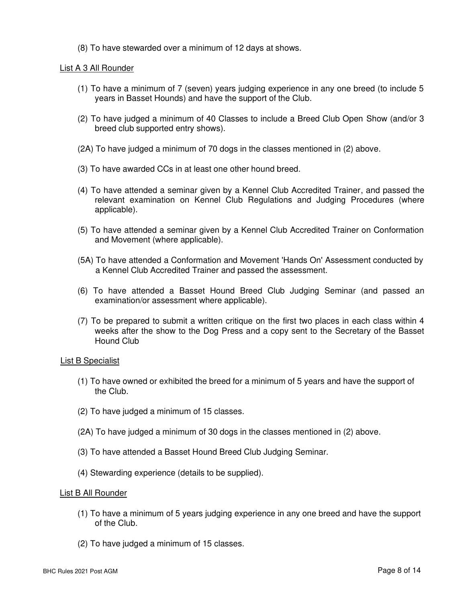(8) To have stewarded over a minimum of 12 days at shows.

## List A 3 All Rounder

- (1) To have a minimum of 7 (seven) years judging experience in any one breed (to include 5 years in Basset Hounds) and have the support of the Club.
- (2) To have judged a minimum of 40 Classes to include a Breed Club Open Show (and/or 3 breed club supported entry shows).
- (2A) To have judged a minimum of 70 dogs in the classes mentioned in (2) above.
- (3) To have awarded CCs in at least one other hound breed.
- (4) To have attended a seminar given by a Kennel Club Accredited Trainer, and passed the relevant examination on Kennel Club Regulations and Judging Procedures (where applicable).
- (5) To have attended a seminar given by a Kennel Club Accredited Trainer on Conformation and Movement (where applicable).
- (5A) To have attended a Conformation and Movement 'Hands On' Assessment conducted by a Kennel Club Accredited Trainer and passed the assessment.
- (6) To have attended a Basset Hound Breed Club Judging Seminar (and passed an examination/or assessment where applicable).
- (7) To be prepared to submit a written critique on the first two places in each class within 4 weeks after the show to the Dog Press and a copy sent to the Secretary of the Basset Hound Club

## List B Specialist

- (1) To have owned or exhibited the breed for a minimum of 5 years and have the support of the Club.
- (2) To have judged a minimum of 15 classes.
- (2A) To have judged a minimum of 30 dogs in the classes mentioned in (2) above.
- (3) To have attended a Basset Hound Breed Club Judging Seminar.
- (4) Stewarding experience (details to be supplied).

## List B All Rounder

- (1) To have a minimum of 5 years judging experience in any one breed and have the support of the Club.
- (2) To have judged a minimum of 15 classes.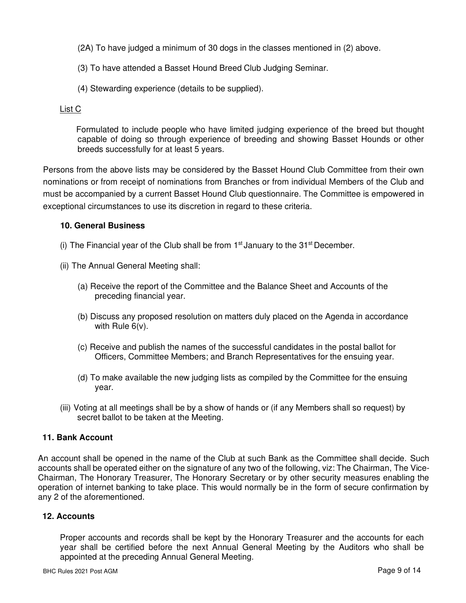- (2A) To have judged a minimum of 30 dogs in the classes mentioned in (2) above.
- (3) To have attended a Basset Hound Breed Club Judging Seminar.
- (4) Stewarding experience (details to be supplied).

## List C

Formulated to include people who have limited judging experience of the breed but thought capable of doing so through experience of breeding and showing Basset Hounds or other breeds successfully for at least 5 years.

Persons from the above lists may be considered by the Basset Hound Club Committee from their own nominations or from receipt of nominations from Branches or from individual Members of the Club and must be accompanied by a current Basset Hound Club questionnaire. The Committee is empowered in exceptional circumstances to use its discretion in regard to these criteria.

# **10. General Business**

- (i) The Financial year of the Club shall be from  $1<sup>st</sup>$  January to the 31<sup>st</sup> December.
- (ii) The Annual General Meeting shall:
	- (a) Receive the report of the Committee and the Balance Sheet and Accounts of the preceding financial year.
	- (b) Discuss any proposed resolution on matters duly placed on the Agenda in accordance with Rule 6(v).
	- (c) Receive and publish the names of the successful candidates in the postal ballot for Officers, Committee Members; and Branch Representatives for the ensuing year.
	- (d) To make available the new judging lists as compiled by the Committee for the ensuing year.
- (iii) Voting at all meetings shall be by a show of hands or (if any Members shall so request) by secret ballot to be taken at the Meeting.

## **11. Bank Account**

An account shall be opened in the name of the Club at such Bank as the Committee shall decide. Such accounts shall be operated either on the signature of any two of the following, viz: The Chairman, The Vice-Chairman, The Honorary Treasurer, The Honorary Secretary or by other security measures enabling the operation of internet banking to take place. This would normally be in the form of secure confirmation by any 2 of the aforementioned.

## **12. Accounts**

Proper accounts and records shall be kept by the Honorary Treasurer and the accounts for each year shall be certified before the next Annual General Meeting by the Auditors who shall be appointed at the preceding Annual General Meeting.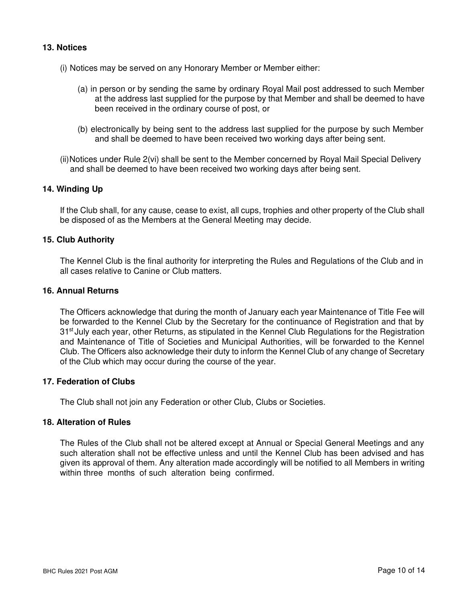## **13. Notices**

- (i) Notices may be served on any Honorary Member or Member either:
	- (a) in person or by sending the same by ordinary Royal Mail post addressed to such Member at the address last supplied for the purpose by that Member and shall be deemed to have been received in the ordinary course of post, or
	- (b) electronically by being sent to the address last supplied for the purpose by such Member and shall be deemed to have been received two working days after being sent.
- (ii) Notices under Rule 2(vi) shall be sent to the Member concerned by Royal Mail Special Delivery and shall be deemed to have been received two working days after being sent.

# **14. Winding Up**

If the Club shall, for any cause, cease to exist, all cups, trophies and other property of the Club shall be disposed of as the Members at the General Meeting may decide.

#### **15. Club Authority**

The Kennel Club is the final authority for interpreting the Rules and Regulations of the Club and in all cases relative to Canine or Club matters.

# **16. Annual Returns**

The Officers acknowledge that during the month of January each year Maintenance of Title Fee will be forwarded to the Kennel Club by the Secretary for the continuance of Registration and that by 31<sup>st</sup> July each year, other Returns, as stipulated in the Kennel Club Regulations for the Registration and Maintenance of Title of Societies and Municipal Authorities, will be forwarded to the Kennel Club. The Officers also acknowledge their duty to inform the Kennel Club of any change of Secretary of the Club which may occur during the course of the year.

## **17. Federation of Clubs**

The Club shall not join any Federation or other Club, Clubs or Societies.

#### **18. Alteration of Rules**

The Rules of the Club shall not be altered except at Annual or Special General Meetings and any such alteration shall not be effective unless and until the Kennel Club has been advised and has given its approval of them. Any alteration made accordingly will be notified to all Members in writing within three months of such alteration being confirmed.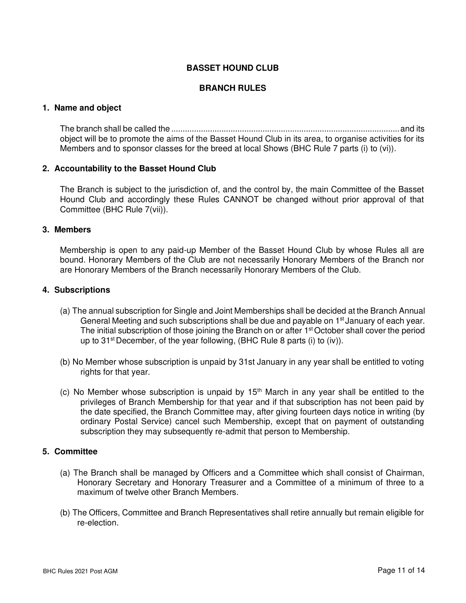# **BASSET HOUND CLUB**

# **BRANCH RULES**

#### **1. Name and object**

The branch shall be called the ....................................................................................................and its object will be to promote the aims of the Basset Hound Club in its area, to organise activities for its Members and to sponsor classes for the breed at local Shows (BHC Rule 7 parts (i) to (vi)).

#### **2. Accountability to the Basset Hound Club**

The Branch is subject to the jurisdiction of, and the control by, the main Committee of the Basset Hound Club and accordingly these Rules CANNOT be changed without prior approval of that Committee (BHC Rule 7(vii)).

#### **3. Members**

Membership is open to any paid-up Member of the Basset Hound Club by whose Rules all are bound. Honorary Members of the Club are not necessarily Honorary Members of the Branch nor are Honorary Members of the Branch necessarily Honorary Members of the Club.

#### **4. Subscriptions**

- (a) The annual subscription for Single and Joint Memberships shall be decided at the Branch Annual General Meeting and such subscriptions shall be due and payable on 1<sup>st</sup> January of each year. The initial subscription of those joining the Branch on or after 1<sup>st</sup> October shall cover the period up to 31<sup>st</sup> December, of the year following, (BHC Rule 8 parts (i) to (iv)).
- (b) No Member whose subscription is unpaid by 31st January in any year shall be entitled to voting rights for that year.
- (c) No Member whose subscription is unpaid by  $15<sup>th</sup>$  March in any year shall be entitled to the privileges of Branch Membership for that year and if that subscription has not been paid by the date specified, the Branch Committee may, after giving fourteen days notice in writing (by ordinary Postal Service) cancel such Membership, except that on payment of outstanding subscription they may subsequently re-admit that person to Membership.

## **5. Committee**

- (a) The Branch shall be managed by Officers and a Committee which shall consist of Chairman, Honorary Secretary and Honorary Treasurer and a Committee of a minimum of three to a maximum of twelve other Branch Members.
- (b) The Officers, Committee and Branch Representatives shall retire annually but remain eligible for re-election.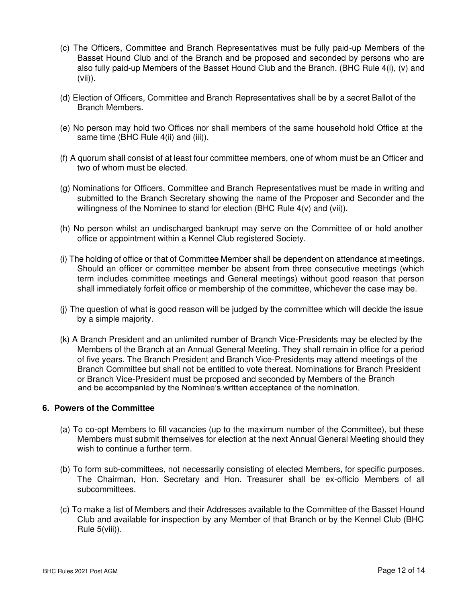- (c) The Officers, Committee and Branch Representatives must be fully paid-up Members of the Basset Hound Club and of the Branch and be proposed and seconded by persons who are also fully paid-up Members of the Basset Hound Club and the Branch. (BHC Rule 4(i), (v) and (vii)).
- (d) Election of Officers, Committee and Branch Representatives shall be by a secret Ballot of the Branch Members.
- (e) No person may hold two Offices nor shall members of the same household hold Office at the same time (BHC Rule 4(ii) and (iii)).
- (f) A quorum shall consist of at least four committee members, one of whom must be an Officer and two of whom must be elected.
- (g) Nominations for Officers, Committee and Branch Representatives must be made in writing and submitted to the Branch Secretary showing the name of the Proposer and Seconder and the willingness of the Nominee to stand for election (BHC Rule 4(v) and (vii)).
- (h) No person whilst an undischarged bankrupt may serve on the Committee of or hold another office or appointment within a Kennel Club registered Society.
- (i) The holding of office or that of Committee Member shall be dependent on attendance at meetings. Should an officer or committee member be absent from three consecutive meetings (which term includes committee meetings and General meetings) without good reason that person shall immediately forfeit office or membership of the committee, whichever the case may be.
- (j) The question of what is good reason will be judged by the committee which will decide the issue by a simple majority.
- (k) A Branch President and an unlimited number of Branch Vice-Presidents may be elected by the Members of the Branch at an Annual General Meeting. They shall remain in office for a period of five years. The Branch President and Branch Vice-Presidents may attend meetings of the Branch Committee but shall not be entitled to vote thereat. Nominations for Branch President or Branch Vice-President must be proposed and seconded by Members of the Branch and be accompanied by the Nominee's written acceptance of the nomination.

## **6. Powers of the Committee**

- (a) To co-opt Members to fill vacancies (up to the maximum number of the Committee), but these Members must submit themselves for election at the next Annual General Meeting should they wish to continue a further term.
- (b) To form sub-committees, not necessarily consisting of elected Members, for specific purposes. The Chairman, Hon. Secretary and Hon. Treasurer shall be ex-officio Members of all subcommittees.
- (c) To make a list of Members and their Addresses available to the Committee of the Basset Hound Club and available for inspection by any Member of that Branch or by the Kennel Club (BHC Rule 5(viii)).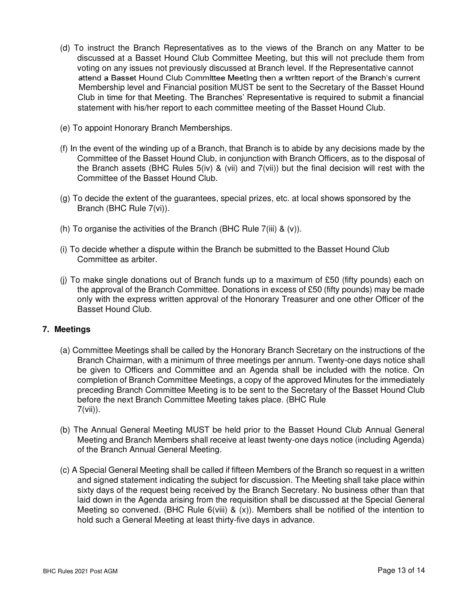- (d) To instruct the Branch Representatives as to the views of the Branch on any Matter to be discussed at a Basset Hound Club Committee Meeting, but this will not preclude them from voting on any issues not previously discussed at Branch level. If the Representative cannot attend a Basset Hound Club Committee Meeting then a written report of the Branch's current Membership level and Financial position MUST be sent to the Secretary of the Basset Hound Club in time for that Meeting. The Branches' Representative is required to submit a financial statement with his/her report to each committee meeting of the Basset Hound Club.
- (e) To appoint Honorary Branch Memberships.
- (f) In the event of the winding up of a Branch, that Branch is to abide by any decisions made by the Committee of the Basset Hound Club, in conjunction with Branch Officers, as to the disposal of the Branch assets (BHC Rules 5(iv) & (vii) and 7(vii)) but the final decision will rest with the Committee of the Basset Hound Club.
- (g) To decide the extent of the guarantees, special prizes, etc. at local shows sponsored by the Branch (BHC Rule 7(vi)).
- (h) To organise the activities of the Branch (BHC Rule  $7(iii)$  &  $(v)$ ).
- (i) To decide whether a dispute within the Branch be submitted to the Basset Hound Club Committee as arbiter.
- (i) To make single donations out of Branch funds up to a maximum of £50 (fifty pounds) each on the approval of the Branch Committee. Donations in excess of £50 (fifty pounds) may be made only with the express written approval of the Honorary Treasurer and one other Officer of the Basset Hound Club.

## **7. Meetings**

- (a) Committee Meetings shall be called by the Honorary Branch Secretary on the instructions of the Branch Chairman, with a minimum of three meetings per annum. Twenty-one days notice shall be given to Officers and Committee and an Agenda shall be included with the notice. On completion of Branch Committee Meetings, a copy of the approved Minutes for the immediately preceding Branch Committee Meeting is to be sent to the Secretary of the Basset Hound Club before the next Branch Committee Meeting takes place. (BHC Rule 7(vii)).
- (b) The Annual General Meeting MUST be held prior to the Basset Hound Club Annual General Meeting and Branch Members shall receive at least twenty-one days notice (including Agenda) of the Branch Annual General Meeting.
- (c) A Special General Meeting shall be called if fifteen Members of the Branch so request in a written and signed statement indicating the subject for discussion. The Meeting shall take place within sixty days of the request being received by the Branch Secretary. No business other than that laid down in the Agenda arising from the requisition shall be discussed at the Special General Meeting so convened. (BHC Rule  $6$ (viii) &  $(x)$ ). Members shall be notified of the intention to hold such a General Meeting at least thirty-five days in advance.